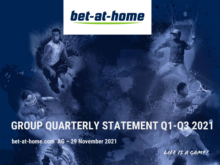

# **GROUP QUARTERLY STATEMENT Q1-Q3 2021**

**bet-at-home.com AG – 29 November 2021**

Life is a game!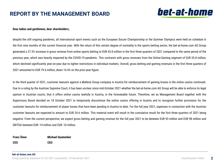# **REPORT BY THE MANAGEMENT BOARD**



#### **Dear ladies and gentlemen, dear shareholders,**

despite the still ongoing pandemic, all international sport events such as the European Soccer Championship or the Summer Olympics were held on schedule in the first nine months of the current financial year. With the return of this certain degree of normality in the sports betting sector, the bet-at-home.com AG Group generated a 27.3% increase in gross revenue from online sports betting to EUR 43.8 million in the first three quarters of 2021 compared to the same period of the previous year, which was heavily impacted by the COVID-19 pandemic. This contrasts with gross revenues from the Online-Gaming segment of EUR 35.8 million, which declined significantly year-on-year due to tighter restrictions in individual markets. Overall, gross betting and gaming revenues in the first three quarters of 2021 amounted to EUR 79.6 million, down 14.4% on the prior-year figure.

In the third quarter of 2021, customer lawsuits against a Maltese Group company in Austria for reimbursement of gaming losses in the online casino continued. Due to a ruling by the Austrian Supreme Court, it has been unclear since mid-October 2021 whether the bet-at-home.com AG Group will be able to enforce its legal opinion in Austrian courts, that it offers online casino lawfully in Austria, in the foreseeable future. Therefore, we as Management Board together with the Supervisory Board decided on 18 October 2021 to temporarily discontinue the online casino offering in Austria and to recognize further provisions for the customer lawsuits for reimbursement of player losses that have been pending in Austria to date. For the full year 2021, expenses in connection with the Austrian customer lawsuits are expected to amount to EUR 24.6 million. This material event will result in the cumulative result for the first three quarters of 2021 being negative. From the current perspective, we expect gross betting and gaming revenue for the full year 2021 to be between EUR 93 million and EUR 98 million and EBITDA between EUR -14 million and EUR -10 million.

#### **Franz Ömer**

**Michael Quatember**

**CEO**

**CEO**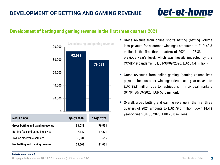# bet-at-home

### **Development of betting and gaming revenue in the first three quarters 2021**



- Gross revenue from online sports betting (betting volume less payouts for customer winnings) amounted to EUR 43.8 million in the first three quarters of 2021, up 27.3% on the previous year's level, which was heavily impacted by the COVID-19 pandemic (01/01-30/09/2020: EUR 34.4 million).
- Gross revenues from online gaming (gaming volume less payouts for customer winnings) decreased year-on-year to EUR 35.8 million due to restrictions in individual markets (01/01-30/09/2020: EUR 58.6 million).
- Overall, gross betting and gaming revenue in the first three quarters of 2021 amounts to EUR 79.6 million, down 14.4% year-on-year (Q1-Q3 2020: EUR 93.0 million).

#### **bet-at-home.com AG**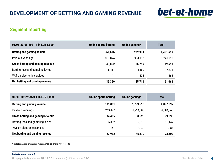

### **Segment reporting**

| 01/01-30/09/2021   in EUR 1,000  | <b>Online sports betting</b> | Online gaming $*$ | <b>Total</b> |
|----------------------------------|------------------------------|-------------------|--------------|
| <b>Betting and gaming volume</b> | 351,676                      | 969,914           | 1,321,590    |
| Paid out winnings                | $-307,874$                   | $-934.118$        | $-1,241,992$ |
| Gross betting and gaming revenue | 43,802                       | 35,796            | 79,598       |
| Betting fees and gambling levies | $-8,411$                     | $-9.460$          | $-17,871$    |
| VAT on electronic services       | -41                          | $-625$            | $-666$       |
| Net betting and gaming revenue   | 35,350                       | 25,711            | 61,061       |

| 01/01-30/09/2020   in EUR 1,000         | <b>Online sports betting</b> | Online gaming $*$ | <b>Total</b> |
|-----------------------------------------|------------------------------|-------------------|--------------|
| <b>Betting and gaming volume</b>        | 303,881                      | 1,793,516         | 2,097,397    |
| Paid out winnings                       | $-269,477$                   | $-1,734,888$      | $-2,004,365$ |
| <b>Gross betting and gaming revenue</b> | 34,405                       | 58,628            | 93,033       |
| Betting fees and gambling levies        | $-6,332$                     | $-9.815$          | $-16,147$    |
| VAT on electronic services              | -141                         | $-3.243$          | $-3,384$     |
| Net betting and gaming revenue          | 27,932                       | 45,570            | 73,502       |

\* includes casino, live casino, vegas games, poker and virtual sports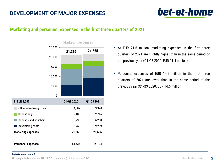# **DEVELOPMENT OF MAJOR EXPENSES**



### **Marketing and personnel expenses in the first three quarters of 2021**



**Marketing expenses**

- At EUR 21.6 million, marketing expenses in the first three quarters of 2021 are slightly higher than in the same period of the previous year (Q1-Q3 2020: EUR 21.4 million).
- Personnel expenses of EUR 14.2 million in the first three quarters of 2021 are lower than in the same period of the previous year (Q1-Q3 2020: EUR 14.6 million)

#### **bet-at-home.com AG**

**Marketing expenses 21,365 21,565**

**Personnel expenses 14,635 14,184**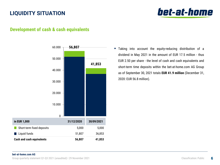# **LIQUIDITY SITUATION**



### **Development of cash & cash equivalents**



 Taking into account the equity-reducing distribution of a dividend in May 2021 in the amount of EUR 17.5 million - thus EUR 2.50 per share - the level of cash and cash equivalents and short-term time deposits within the bet-at-home.com AG Group as of September 30, 2021 totals **EUR 41.9 million** (December 31, 2020: EUR 56.8 million).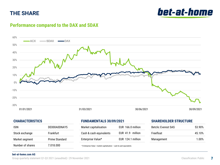# **THE SHARE**

bet-at-home

## **Performance compared to the DAX and SDAX**



### **CHARACTERISTICS**

| <b>ISIN</b>      | DE000A0DNAY5   |
|------------------|----------------|
| Stock exchange   | Frankfurt      |
| Market segment   | Prime Standard |
| Number of shares | 7.018.000      |
|                  |                |

### **FUNDAMENTALS 30/09/2021**

| Market capitalisation   | EUR 166.0 million |
|-------------------------|-------------------|
| Cash & cash equivalents | EUR 41.9 million  |
| Enterprise Value*       | EUR 124.1 million |

\*) Enterprise Value = market capitalisation – cash & cash equivalents

### **SHAREHOLDER STRUCTURE**

| <b>Betclic Everest SAS</b> | 53.90% |
|----------------------------|--------|
| <b>Freefloat</b>           | 45.10% |
| Management                 | 1.00%  |

#### **bet-at-home.com AG**

Group quarterly statement Q1-Q3 2021 (unaudited)  $\vert$  29 November 2021 Classification: Public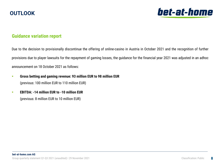# **OUTLOOK**



### **Guidance variation report**

Due to the decision to provisionally discontinue the offering of online-casino in Austria in October 2021 and the recognition of further provisions due to player lawsuits for the repayment of gaming losses, the guidance for the financial year 2021 was adjusted in an adhoc announcement on 18 October 2021 as follows:

- **Gross betting and gaming revenue: 93 million EUR to 98 million EUR**  (previous: 100 million EUR to 110 million EUR)
- **EBITDA: -14 million EUR to -10 million EUR**  (previous: 8 million EUR to 10 million EUR)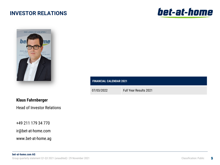# **INVESTOR RELATIONS**





### **FINANCIAL CALENDAR 2021**

07/03/2022 Full Year Results 2021

### **Klaus Fahrnberger**

Head of Investor Relations

+49 211 179 34 770

ir@bet-at-home.com

www.bet-at-home.ag